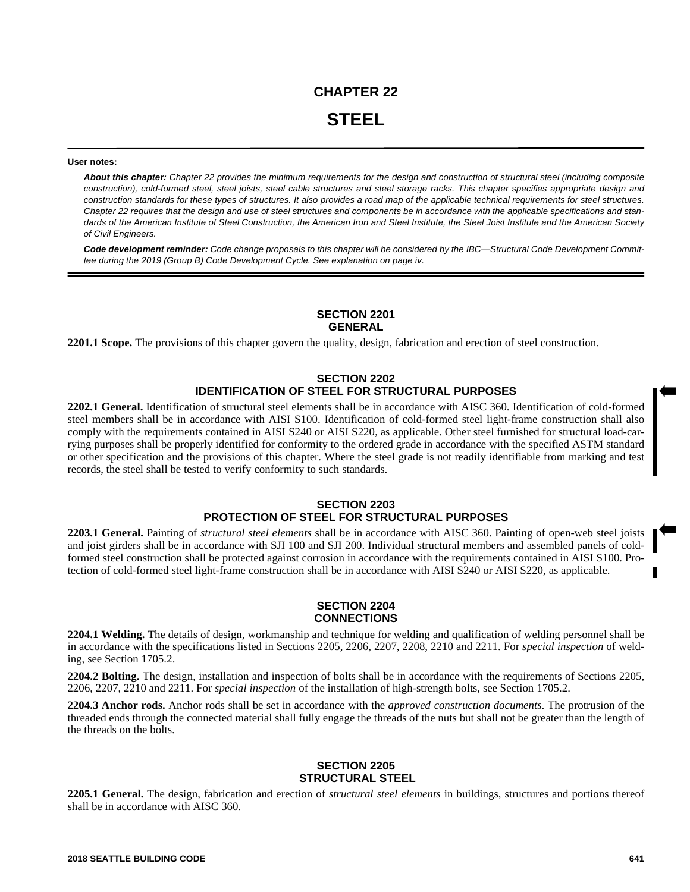#### **User notes:**

*About this chapter: Chapter 22 provides the minimum requirements for the design and construction of structural steel (including composite construction), cold-formed steel, steel joists, steel cable structures and steel storage racks. This chapter specifies appropriate design and construction standards for these types of structures. It also provides a road map of the applicable technical requirements for steel structures. Chapter 22 requires that the design and use of steel structures and components be in accordance with the applicable specifications and standards of the American Institute of Steel Construction, the American Iron and Steel Institute, the Steel Joist Institute and the American Society of Civil Engineers.*

*Code development reminder: Code change proposals to this chapter will be considered by the IBC—Structural Code Development Committee during the 2019 (Group B) Code Development Cycle. See explanation on page iv.*

### **SECTION 2201 GENERAL**

**2201.1 Scope.** The provisions of this chapter govern the quality, design, fabrication and erection of steel construction.

# **SECTION 2202 IDENTIFICATION OF STEEL FOR STRUCTURAL PURPOSES**

**2202.1 General.** Identification of structural steel elements shall be in accordance with AISC 360. Identification of cold-formed steel members shall be in accordance with AISI S100. Identification of cold-formed steel light-frame construction shall also comply with the requirements contained in AISI S240 or AISI S220, as applicable. Other steel furnished for structural load-carrying purposes shall be properly identified for conformity to the ordered grade in accordance with the specified ASTM standard or other specification and the provisions of this chapter. Where the steel grade is not readily identifiable from marking and test records, the steel shall be tested to verify conformity to such standards.

## **SECTION 2203 PROTECTION OF STEEL FOR STRUCTURAL PURPOSES**

**2203.1 General.** Painting of *structural steel elements* shall be in accordance with AISC 360. Painting of open-web steel joists and joist girders shall be in accordance with SJI 100 and SJI 200. Individual structural members and assembled panels of coldformed steel construction shall be protected against corrosion in accordance with the requirements contained in AISI S100. Protection of cold-formed steel light-frame construction shall be in accordance with AISI S240 or AISI S220, as applicable.

## **SECTION 2204 CONNECTIONS**

**2204.1 Welding.** The details of design, workmanship and technique for welding and qualification of welding personnel shall be in accordance with the specifications listed in Sections 2205, 2206, 2207, 2208, 2210 and 2211. For *special inspection* of welding, see Section 1705.2.

**2204.2 Bolting.** The design, installation and inspection of bolts shall be in accordance with the requirements of Sections 2205, 2206, 2207, 2210 and 2211. For *special inspection* of the installation of high-strength bolts, see Section 1705.2.

**2204.3 Anchor rods.** Anchor rods shall be set in accordance with the *approved construction documents*. The protrusion of the threaded ends through the connected material shall fully engage the threads of the nuts but shall not be greater than the length of the threads on the bolts.

# **SECTION 2205 STRUCTURAL STEEL**

**2205.1 General.** The design, fabrication and erection of *structural steel elements* in buildings, structures and portions thereof shall be in accordance with AISC 360.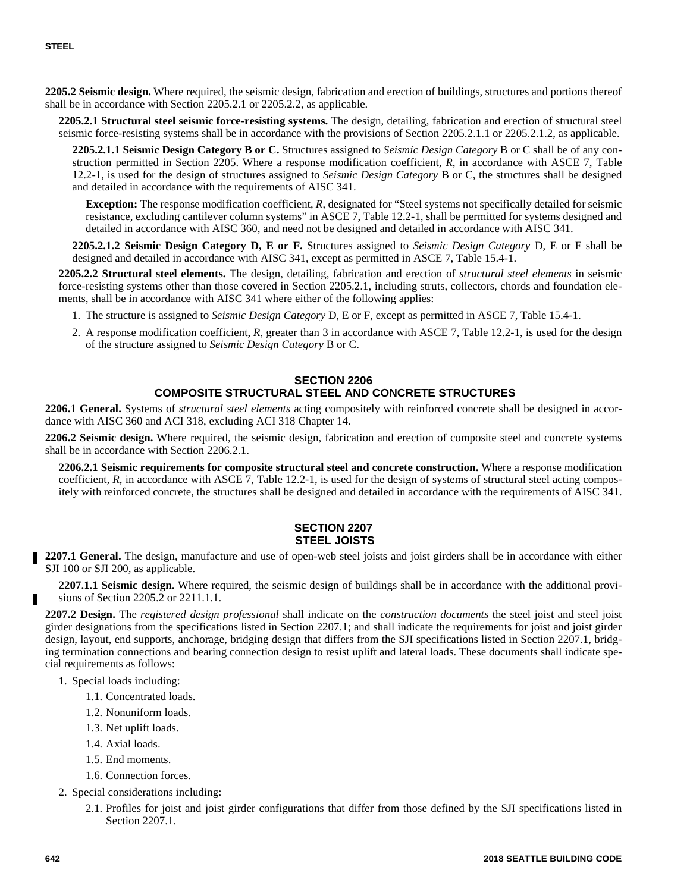**2205.2 Seismic design.** Where required, the seismic design, fabrication and erection of buildings, structures and portions thereof shall be in accordance with Section 2205.2.1 or 2205.2.2, as applicable.

**2205.2.1 Structural steel seismic force-resisting systems.** The design, detailing, fabrication and erection of structural steel seismic force-resisting systems shall be in accordance with the provisions of Section 2205.2.1.1 or 2205.2.1.2, as applicable.

**2205.2.1.1 Seismic Design Category B or C.** Structures assigned to *Seismic Design Category* B or C shall be of any construction permitted in Section 2205. Where a response modification coefficient, *R*, in accordance with ASCE 7, Table 12.2-1, is used for the design of structures assigned to *Seismic Design Category* B or C, the structures shall be designed and detailed in accordance with the requirements of AISC 341.

**Exception:** The response modification coefficient, *R*, designated for "Steel systems not specifically detailed for seismic resistance, excluding cantilever column systems" in ASCE 7, Table 12.2-1, shall be permitted for systems designed and detailed in accordance with AISC 360, and need not be designed and detailed in accordance with AISC 341.

**2205.2.1.2 Seismic Design Category D, E or F.** Structures assigned to *Seismic Design Category* D, E or F shall be designed and detailed in accordance with AISC 341, except as permitted in ASCE 7, Table 15.4-1.

**2205.2.2 Structural steel elements.** The design, detailing, fabrication and erection of *structural steel elements* in seismic force-resisting systems other than those covered in Section 2205.2.1, including struts, collectors, chords and foundation elements, shall be in accordance with AISC 341 where either of the following applies:

- 1. The structure is assigned to *Seismic Design Category* D, E or F, except as permitted in ASCE 7, Table 15.4-1.
- 2. A response modification coefficient, *R*, greater than 3 in accordance with ASCE 7, Table 12.2-1, is used for the design of the structure assigned to *Seismic Design Category* B or C.

# **SECTION 2206 COMPOSITE STRUCTURAL STEEL AND CONCRETE STRUCTURES**

**2206.1 General.** Systems of *structural steel elements* acting compositely with reinforced concrete shall be designed in accordance with AISC 360 and ACI 318, excluding ACI 318 Chapter 14.

**2206.2 Seismic design.** Where required, the seismic design, fabrication and erection of composite steel and concrete systems shall be in accordance with Section 2206.2.1.

**2206.2.1 Seismic requirements for composite structural steel and concrete construction.** Where a response modification coefficient, *R*, in accordance with ASCE 7, Table 12.2-1, is used for the design of systems of structural steel acting compositely with reinforced concrete, the structures shall be designed and detailed in accordance with the requirements of AISC 341.

### **SECTION 2207 STEEL JOISTS**

**2207.1 General.** The design, manufacture and use of open-web steel joists and joist girders shall be in accordance with either SJI 100 or SJI 200, as applicable.

**2207.1.1 Seismic design.** Where required, the seismic design of buildings shall be in accordance with the additional provisions of Section 2205.2 or 2211.1.1.

**2207.2 Design.** The *registered design professional* shall indicate on the *construction documents* the steel joist and steel joist girder designations from the specifications listed in Section 2207.1; and shall indicate the requirements for joist and joist girder design, layout, end supports, anchorage, bridging design that differs from the SJI specifications listed in Section 2207.1, bridging termination connections and bearing connection design to resist uplift and lateral loads. These documents shall indicate special requirements as follows:

- 1. Special loads including:
	- 1.1. Concentrated loads.
	- 1.2. Nonuniform loads.
	- 1.3. Net uplift loads.
	- 1.4. Axial loads.
	- 1.5. End moments.
	- 1.6. Connection forces.
- 2. Special considerations including:
	- 2.1. Profiles for joist and joist girder configurations that differ from those defined by the SJI specifications listed in Section 2207.1.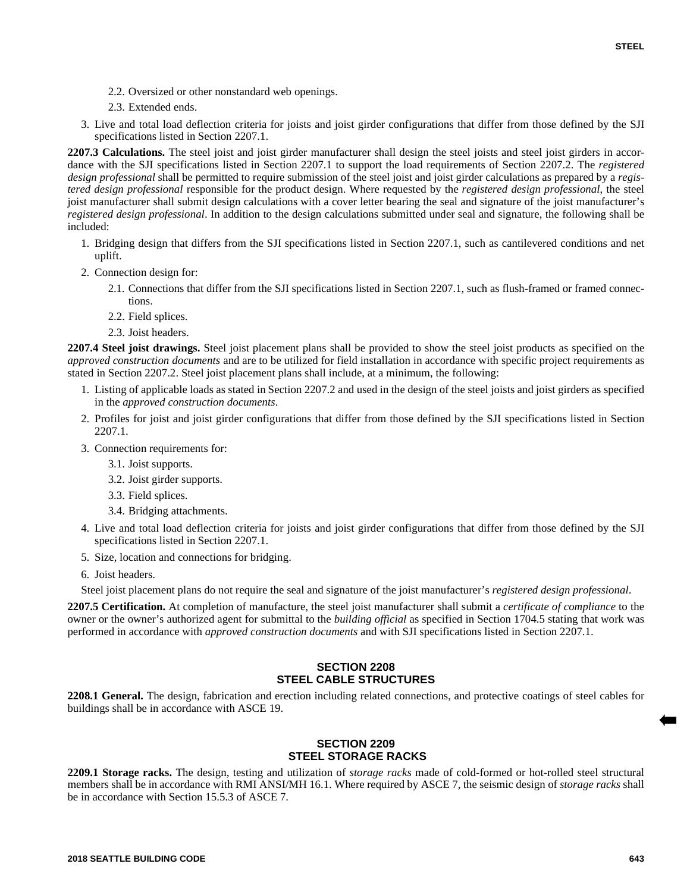- 2.2. Oversized or other nonstandard web openings.
- 2.3. Extended ends.
- 3. Live and total load deflection criteria for joists and joist girder configurations that differ from those defined by the SJI specifications listed in Section 2207.1.

**2207.3 Calculations.** The steel joist and joist girder manufacturer shall design the steel joists and steel joist girders in accordance with the SJI specifications listed in Section 2207.1 to support the load requirements of Section 2207.2. The *registered design professional* shall be permitted to require submission of the steel joist and joist girder calculations as prepared by a *registered design professional* responsible for the product design. Where requested by the *registered design professional*, the steel joist manufacturer shall submit design calculations with a cover letter bearing the seal and signature of the joist manufacturer's *registered design professional*. In addition to the design calculations submitted under seal and signature, the following shall be included:

- 1. Bridging design that differs from the SJI specifications listed in Section 2207.1, such as cantilevered conditions and net uplift.
- 2. Connection design for:
	- 2.1. Connections that differ from the SJI specifications listed in Section 2207.1, such as flush-framed or framed connections.
	- 2.2. Field splices.
	- 2.3. Joist headers.

**2207.4 Steel joist drawings.** Steel joist placement plans shall be provided to show the steel joist products as specified on the *approved construction documents* and are to be utilized for field installation in accordance with specific project requirements as stated in Section 2207.2. Steel joist placement plans shall include, at a minimum, the following:

- 1. Listing of applicable loads as stated in Section 2207.2 and used in the design of the steel joists and joist girders as specified in the *approved construction documents*.
- 2. Profiles for joist and joist girder configurations that differ from those defined by the SJI specifications listed in Section 2207.1.
- 3. Connection requirements for:
	- 3.1. Joist supports.
	- 3.2. Joist girder supports.
	- 3.3. Field splices.
	- 3.4. Bridging attachments.
- 4. Live and total load deflection criteria for joists and joist girder configurations that differ from those defined by the SJI specifications listed in Section 2207.1.
- 5. Size, location and connections for bridging.

6. Joist headers.

Steel joist placement plans do not require the seal and signature of the joist manufacturer's *registered design professional*.

**2207.5 Certification.** At completion of manufacture, the steel joist manufacturer shall submit a *certificate of compliance* to the owner or the owner's authorized agent for submittal to the *building official* as specified in Section 1704.5 stating that work was performed in accordance with *approved construction documents* and with SJI specifications listed in Section 2207.1.

### **SECTION 2208 STEEL CABLE STRUCTURES**

**2208.1 General.** The design, fabrication and erection including related connections, and protective coatings of steel cables for buildings shall be in accordance with ASCE 19.

### **SECTION 2209 STEEL STORAGE RACKS**

**2209.1 Storage racks.** The design, testing and utilization of *storage racks* made of cold-formed or hot-rolled steel structural members shall be in accordance with RMI ANSI/MH 16.1. Where required by ASCE 7, the seismic design of *storage racks* shall be in accordance with Section 15.5.3 of ASCE 7.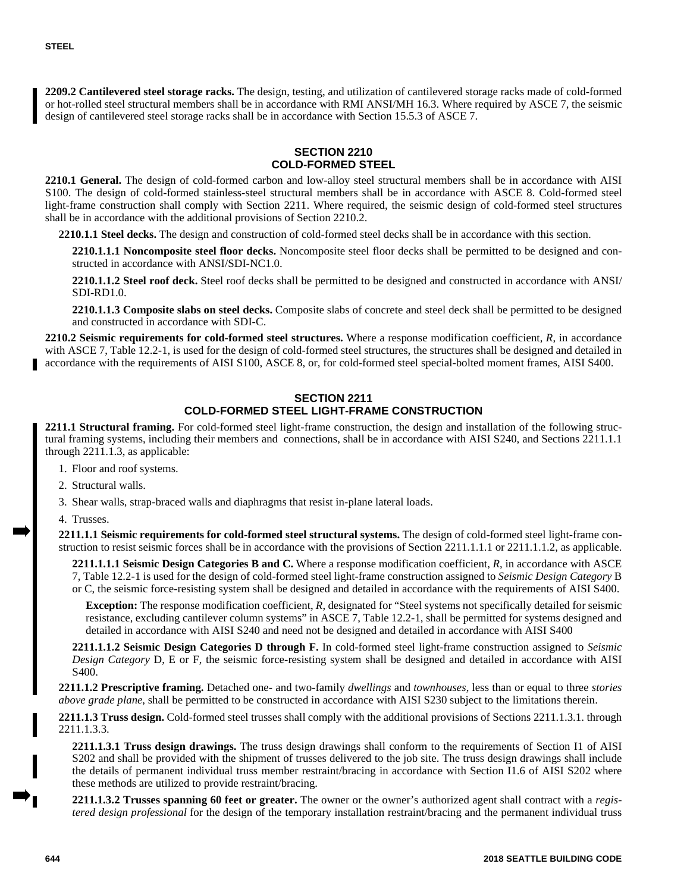**2209.2 Cantilevered steel storage racks.** The design, testing, and utilization of cantilevered storage racks made of cold-formed or hot-rolled steel structural members shall be in accordance with RMI ANSI/MH 16.3. Where required by ASCE 7, the seismic design of cantilevered steel storage racks shall be in accordance with Section 15.5.3 of ASCE 7.

# **SECTION 2210 COLD-FORMED STEEL**

**2210.1 General.** The design of cold-formed carbon and low-alloy steel structural members shall be in accordance with AISI S100. The design of cold-formed stainless-steel structural members shall be in accordance with ASCE 8. Cold-formed steel light-frame construction shall comply with Section 2211. Where required, the seismic design of cold-formed steel structures shall be in accordance with the additional provisions of Section 2210.2.

**2210.1.1 Steel decks.** The design and construction of cold-formed steel decks shall be in accordance with this section.

**2210.1.1.1 Noncomposite steel floor decks.** Noncomposite steel floor decks shall be permitted to be designed and constructed in accordance with ANSI/SDI-NC1.0.

**2210.1.1.2 Steel roof deck.** Steel roof decks shall be permitted to be designed and constructed in accordance with ANSI/ SDI-RD1.0.

**2210.1.1.3 Composite slabs on steel decks.** Composite slabs of concrete and steel deck shall be permitted to be designed and constructed in accordance with SDI-C.

**2210.2 Seismic requirements for cold-formed steel structures.** Where a response modification coefficient, *R*, in accordance with ASCE 7, Table 12.2-1, is used for the design of cold-formed steel structures, the structures shall be designed and detailed in accordance with the requirements of AISI S100, ASCE 8, or, for cold-formed steel special-bolted moment frames, AISI S400.

### **SECTION 2211 COLD-FORMED STEEL LIGHT-FRAME CONSTRUCTION**

**2211.1 Structural framing.** For cold-formed steel light-frame construction, the design and installation of the following structural framing systems, including their members and connections, shall be in accordance with AISI S240, and Sections 2211.1.1 through 2211.1.3, as applicable:

- 1. Floor and roof systems.
- 2. Structural walls.
- 3. Shear walls, strap-braced walls and diaphragms that resist in-plane lateral loads.

4. Trusses.

**2211.1.1 Seismic requirements for cold-formed steel structural systems.** The design of cold-formed steel light-frame construction to resist seismic forces shall be in accordance with the provisions of Section 2211.1.1.1 or 2211.1.1.2, as applicable.

**2211.1.1.1 Seismic Design Categories B and C.** Where a response modification coefficient, *R*, in accordance with ASCE 7, Table 12.2-1 is used for the design of cold-formed steel light-frame construction assigned to *Seismic Design Category* B or C, the seismic force-resisting system shall be designed and detailed in accordance with the requirements of AISI S400.

**Exception:** The response modification coefficient, *R*, designated for "Steel systems not specifically detailed for seismic resistance, excluding cantilever column systems" in ASCE 7, Table 12.2-1, shall be permitted for systems designed and detailed in accordance with AISI S240 and need not be designed and detailed in accordance with AISI S400

**2211.1.1.2 Seismic Design Categories D through F.** In cold-formed steel light-frame construction assigned to *Seismic Design Category* D, E or F, the seismic force-resisting system shall be designed and detailed in accordance with AISI S400.

**2211.1.2 Prescriptive framing.** Detached one- and two-family *dwellings* and *townhouses*, less than or equal to three *stories above grade plane*, shall be permitted to be constructed in accordance with AISI S230 subject to the limitations therein.

**2211.1.3 Truss design.** Cold-formed steel trusses shall comply with the additional provisions of Sections 2211.1.3.1. through 2211.1.3.3.

**2211.1.3.1 Truss design drawings.** The truss design drawings shall conform to the requirements of Section I1 of AISI S202 and shall be provided with the shipment of trusses delivered to the job site. The truss design drawings shall include the details of permanent individual truss member restraint/bracing in accordance with Section I1.6 of AISI S202 where these methods are utilized to provide restraint/bracing.

**2211.1.3.2 Trusses spanning 60 feet or greater.** The owner or the owner's authorized agent shall contract with a *registered design professional* for the design of the temporary installation restraint/bracing and the permanent individual truss